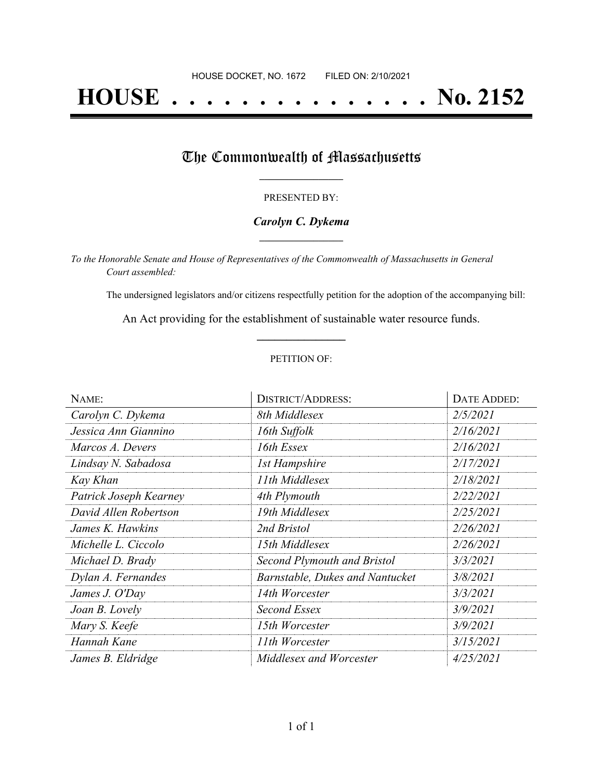# **HOUSE . . . . . . . . . . . . . . . No. 2152**

## The Commonwealth of Massachusetts

#### PRESENTED BY:

#### *Carolyn C. Dykema* **\_\_\_\_\_\_\_\_\_\_\_\_\_\_\_\_\_**

*To the Honorable Senate and House of Representatives of the Commonwealth of Massachusetts in General Court assembled:*

The undersigned legislators and/or citizens respectfully petition for the adoption of the accompanying bill:

An Act providing for the establishment of sustainable water resource funds. **\_\_\_\_\_\_\_\_\_\_\_\_\_\_\_**

#### PETITION OF:

| NAME:                  | <b>DISTRICT/ADDRESS:</b>               | DATE ADDED: |
|------------------------|----------------------------------------|-------------|
| Carolyn C. Dykema      | 8th Middlesex                          | 2/5/2021    |
| Jessica Ann Giannino   | 16th Suffolk                           | 2/16/2021   |
| Marcos A. Devers       | 16th Essex                             | 2/16/2021   |
| Lindsay N. Sabadosa    | <b>1st Hampshire</b>                   | 2/17/2021   |
| Kay Khan               | 11th Middlesex                         | 2/18/2021   |
| Patrick Joseph Kearney | 4th Plymouth                           | 2/22/2021   |
| David Allen Robertson  | 19th Middlesex                         | 2/25/2021   |
| James K. Hawkins       | 2nd Bristol                            | 2/26/2021   |
| Michelle L. Ciccolo    | 15th Middlesex                         | 2/26/2021   |
| Michael D. Brady       | Second Plymouth and Bristol            | 3/3/2021    |
| Dylan A. Fernandes     | <b>Barnstable, Dukes and Nantucket</b> | 3/8/2021    |
| James J. O'Day         | 14th Worcester                         | 3/3/2021    |
| Joan B. Lovely         | Second Essex                           | 3/9/2021    |
| Mary S. Keefe          | 15th Worcester                         | 3/9/2021    |
| Hannah Kane            | 11th Worcester                         | 3/15/2021   |
| James B. Eldridge      | Middlesex and Worcester                | 4/25/2021   |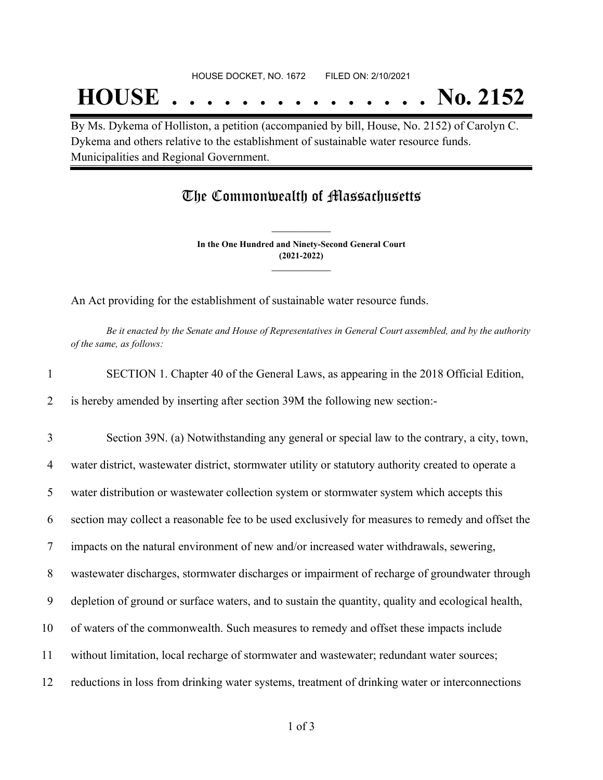# **HOUSE . . . . . . . . . . . . . . . No. 2152**

By Ms. Dykema of Holliston, a petition (accompanied by bill, House, No. 2152) of Carolyn C. Dykema and others relative to the establishment of sustainable water resource funds. Municipalities and Regional Government.

### The Commonwealth of Massachusetts

**In the One Hundred and Ninety-Second General Court (2021-2022) \_\_\_\_\_\_\_\_\_\_\_\_\_\_\_**

**\_\_\_\_\_\_\_\_\_\_\_\_\_\_\_**

An Act providing for the establishment of sustainable water resource funds.

Be it enacted by the Senate and House of Representatives in General Court assembled, and by the authority *of the same, as follows:*

|  |  | SECTION 1. Chapter 40 of the General Laws, as appearing in the 2018 Official Edition, |
|--|--|---------------------------------------------------------------------------------------|
|  |  |                                                                                       |

2 is hereby amended by inserting after section 39M the following new section:-

3 Section 39N. (a) Notwithstanding any general or special law to the contrary, a city, town,

4 water district, wastewater district, stormwater utility or statutory authority created to operate a

5 water distribution or wastewater collection system or stormwater system which accepts this

6 section may collect a reasonable fee to be used exclusively for measures to remedy and offset the

7 impacts on the natural environment of new and/or increased water withdrawals, sewering,

8 wastewater discharges, stormwater discharges or impairment of recharge of groundwater through

9 depletion of ground or surface waters, and to sustain the quantity, quality and ecological health,

- 10 of waters of the commonwealth. Such measures to remedy and offset these impacts include
- 11 without limitation, local recharge of stormwater and wastewater; redundant water sources;
- 12 reductions in loss from drinking water systems, treatment of drinking water or interconnections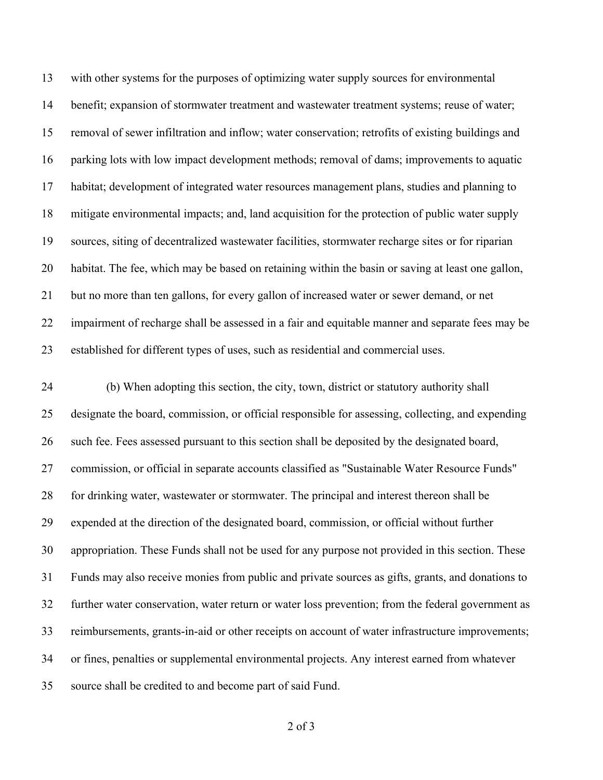with other systems for the purposes of optimizing water supply sources for environmental benefit; expansion of stormwater treatment and wastewater treatment systems; reuse of water; removal of sewer infiltration and inflow; water conservation; retrofits of existing buildings and parking lots with low impact development methods; removal of dams; improvements to aquatic habitat; development of integrated water resources management plans, studies and planning to mitigate environmental impacts; and, land acquisition for the protection of public water supply sources, siting of decentralized wastewater facilities, stormwater recharge sites or for riparian habitat. The fee, which may be based on retaining within the basin or saving at least one gallon, but no more than ten gallons, for every gallon of increased water or sewer demand, or net impairment of recharge shall be assessed in a fair and equitable manner and separate fees may be established for different types of uses, such as residential and commercial uses.

 (b) When adopting this section, the city, town, district or statutory authority shall designate the board, commission, or official responsible for assessing, collecting, and expending such fee. Fees assessed pursuant to this section shall be deposited by the designated board, commission, or official in separate accounts classified as "Sustainable Water Resource Funds" 28 for drinking water, wastewater or stormwater. The principal and interest thereon shall be expended at the direction of the designated board, commission, or official without further appropriation. These Funds shall not be used for any purpose not provided in this section. These Funds may also receive monies from public and private sources as gifts, grants, and donations to further water conservation, water return or water loss prevention; from the federal government as reimbursements, grants-in-aid or other receipts on account of water infrastructure improvements; or fines, penalties or supplemental environmental projects. Any interest earned from whatever source shall be credited to and become part of said Fund.

of 3